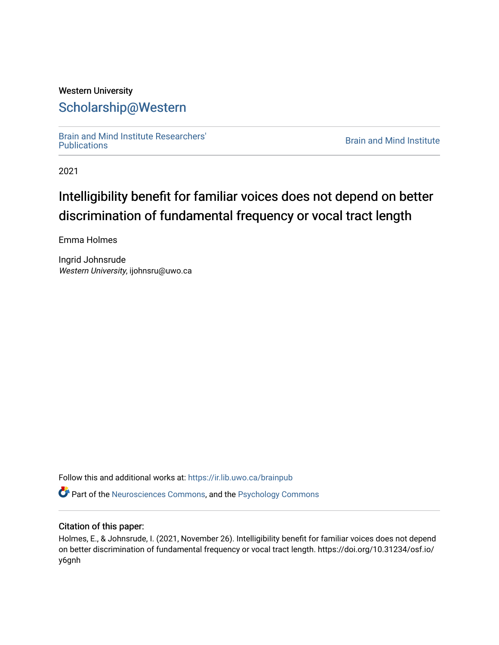# Western University [Scholarship@Western](https://ir.lib.uwo.ca/)

[Brain and Mind Institute Researchers'](https://ir.lib.uwo.ca/brainpub) 

**Brain and Mind Institute** 

2021

# Intelligibility benefit for familiar voices does not depend on better discrimination of fundamental frequency or vocal tract length

Emma Holmes

Ingrid Johnsrude Western University, ijohnsru@uwo.ca

Follow this and additional works at: [https://ir.lib.uwo.ca/brainpub](https://ir.lib.uwo.ca/brainpub?utm_source=ir.lib.uwo.ca%2Fbrainpub%2F1009&utm_medium=PDF&utm_campaign=PDFCoverPages)

Part of the [Neurosciences Commons](http://network.bepress.com/hgg/discipline/1010?utm_source=ir.lib.uwo.ca%2Fbrainpub%2F1009&utm_medium=PDF&utm_campaign=PDFCoverPages), and the [Psychology Commons](http://network.bepress.com/hgg/discipline/404?utm_source=ir.lib.uwo.ca%2Fbrainpub%2F1009&utm_medium=PDF&utm_campaign=PDFCoverPages) 

# Citation of this paper:

Holmes, E., & Johnsrude, I. (2021, November 26). Intelligibility benefit for familiar voices does not depend on better discrimination of fundamental frequency or vocal tract length. https://doi.org/10.31234/osf.io/ y6gnh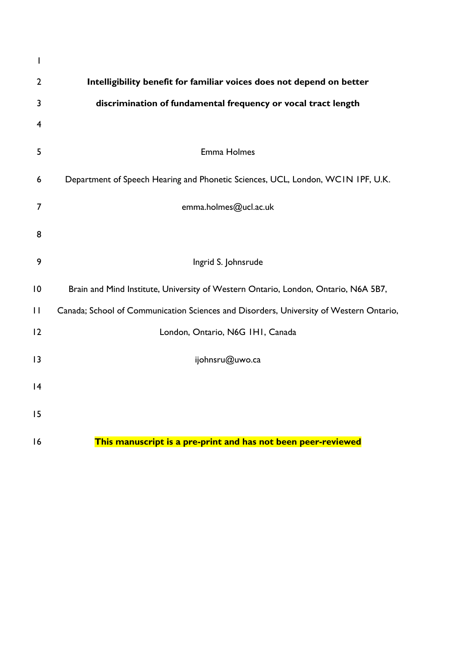| I              |                                                                                        |  |  |  |  |  |  |  |
|----------------|----------------------------------------------------------------------------------------|--|--|--|--|--|--|--|
| $\overline{2}$ | Intelligibility benefit for familiar voices does not depend on better                  |  |  |  |  |  |  |  |
| 3              | discrimination of fundamental frequency or vocal tract length                          |  |  |  |  |  |  |  |
| $\overline{4}$ |                                                                                        |  |  |  |  |  |  |  |
| 5              | Emma Holmes                                                                            |  |  |  |  |  |  |  |
| 6              | Department of Speech Hearing and Phonetic Sciences, UCL, London, WCIN IPF, U.K.        |  |  |  |  |  |  |  |
| 7              | emma.holmes@ucl.ac.uk                                                                  |  |  |  |  |  |  |  |
| 8              |                                                                                        |  |  |  |  |  |  |  |
| 9              | Ingrid S. Johnsrude                                                                    |  |  |  |  |  |  |  |
| 10             | Brain and Mind Institute, University of Western Ontario, London, Ontario, N6A 5B7,     |  |  |  |  |  |  |  |
| $\mathbf{H}$   | Canada; School of Communication Sciences and Disorders, University of Western Ontario, |  |  |  |  |  |  |  |
| 12             | London, Ontario, N6G IHI, Canada                                                       |  |  |  |  |  |  |  |
| 13             | ijohnsru@uwo.ca                                                                        |  |  |  |  |  |  |  |
| 4              |                                                                                        |  |  |  |  |  |  |  |
| 15             |                                                                                        |  |  |  |  |  |  |  |
| 16             | This manuscript is a pre-print and has not been peer-reviewed                          |  |  |  |  |  |  |  |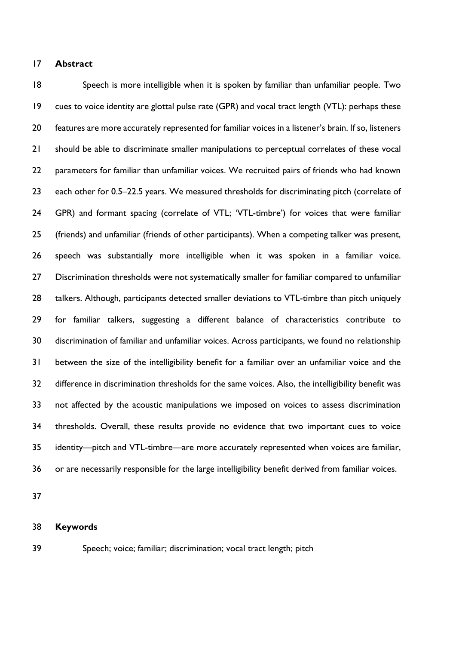# **Abstract**

 Speech is more intelligible when it is spoken by familiar than unfamiliar people. Two cues to voice identity are glottal pulse rate (GPR) and vocal tract length (VTL): perhaps these features are more accurately represented for familiar voices in a listener's brain. If so, listeners should be able to discriminate smaller manipulations to perceptual correlates of these vocal 22 parameters for familiar than unfamiliar voices. We recruited pairs of friends who had known 23 each other for 0.5–22.5 years. We measured thresholds for discriminating pitch (correlate of GPR) and formant spacing (correlate of VTL; 'VTL-timbre') for voices that were familiar (friends) and unfamiliar (friends of other participants). When a competing talker was present, speech was substantially more intelligible when it was spoken in a familiar voice. Discrimination thresholds were not systematically smaller for familiar compared to unfamiliar 28 talkers. Although, participants detected smaller deviations to VTL-timbre than pitch uniquely for familiar talkers, suggesting a different balance of characteristics contribute to discrimination of familiar and unfamiliar voices. Across participants, we found no relationship between the size of the intelligibility benefit for a familiar over an unfamiliar voice and the difference in discrimination thresholds for the same voices. Also, the intelligibility benefit was not affected by the acoustic manipulations we imposed on voices to assess discrimination thresholds. Overall, these results provide no evidence that two important cues to voice identity—pitch and VTL-timbre—are more accurately represented when voices are familiar, or are necessarily responsible for the large intelligibility benefit derived from familiar voices.

#### **Keywords**

Speech; voice; familiar; discrimination; vocal tract length; pitch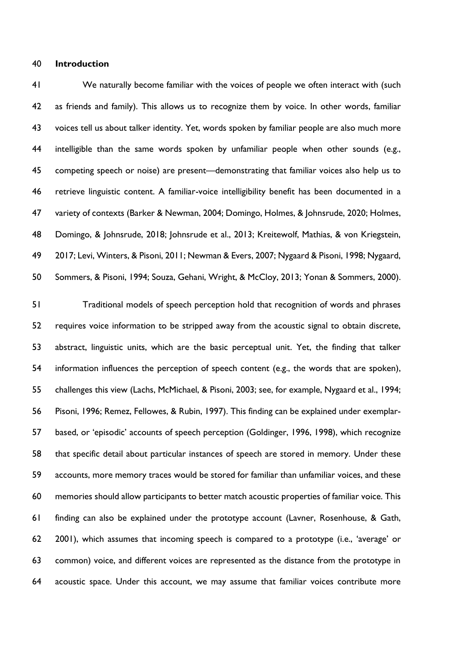# **Introduction**

 We naturally become familiar with the voices of people we often interact with (such as friends and family). This allows us to recognize them by voice. In other words, familiar voices tell us about talker identity. Yet, words spoken by familiar people are also much more intelligible than the same words spoken by unfamiliar people when other sounds (e.g., competing speech or noise) are present—demonstrating that familiar voices also help us to retrieve linguistic content. A familiar-voice intelligibility benefit has been documented in a variety of contexts (Barker & Newman, 2004; Domingo, Holmes, & Johnsrude, 2020; Holmes, 48 Domingo, & Johnsrude, 2018; Johnsrude et al., 2013; Kreitewolf, Mathias, & von Kriegstein, 2017; Levi, Winters, & Pisoni, 2011; Newman & Evers, 2007; Nygaard & Pisoni, 1998; Nygaard, Sommers, & Pisoni, 1994; Souza, Gehani, Wright, & McCloy, 2013; Yonan & Sommers, 2000).

 Traditional models of speech perception hold that recognition of words and phrases requires voice information to be stripped away from the acoustic signal to obtain discrete, abstract, linguistic units, which are the basic perceptual unit. Yet, the finding that talker information influences the perception of speech content (e.g., the words that are spoken), challenges this view (Lachs, McMichael, & Pisoni, 2003; see, for example, Nygaard et al., 1994; Pisoni, 1996; Remez, Fellowes, & Rubin, 1997). This finding can be explained under exemplar- based, or 'episodic' accounts of speech perception (Goldinger, 1996, 1998), which recognize that specific detail about particular instances of speech are stored in memory. Under these accounts, more memory traces would be stored for familiar than unfamiliar voices, and these memories should allow participants to better match acoustic properties of familiar voice. This finding can also be explained under the prototype account (Lavner, Rosenhouse, & Gath, 2001), which assumes that incoming speech is compared to a prototype (i.e., 'average' or common) voice, and different voices are represented as the distance from the prototype in acoustic space. Under this account, we may assume that familiar voices contribute more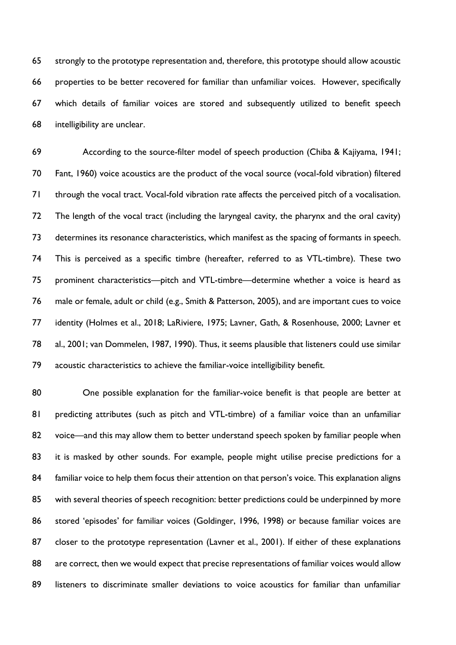strongly to the prototype representation and, therefore, this prototype should allow acoustic properties to be better recovered for familiar than unfamiliar voices. However, specifically which details of familiar voices are stored and subsequently utilized to benefit speech intelligibility are unclear.

 According to the source-filter model of speech production (Chiba & Kajiyama, 1941; Fant, 1960) voice acoustics are the product of the vocal source (vocal-fold vibration) filtered through the vocal tract. Vocal-fold vibration rate affects the perceived pitch of a vocalisation. The length of the vocal tract (including the laryngeal cavity, the pharynx and the oral cavity) determines its resonance characteristics, which manifest as the spacing of formants in speech. This is perceived as a specific timbre (hereafter, referred to as VTL-timbre). These two prominent characteristics—pitch and VTL-timbre—determine whether a voice is heard as male or female, adult or child (e.g., Smith & Patterson, 2005), and are important cues to voice identity (Holmes et al., 2018; LaRiviere, 1975; Lavner, Gath, & Rosenhouse, 2000; Lavner et al., 2001; van Dommelen, 1987, 1990). Thus, it seems plausible that listeners could use similar acoustic characteristics to achieve the familiar-voice intelligibility benefit.

80 One possible explanation for the familiar-voice benefit is that people are better at 81 predicting attributes (such as pitch and VTL-timbre) of a familiar voice than an unfamiliar voice—and this may allow them to better understand speech spoken by familiar people when 83 it is masked by other sounds. For example, people might utilise precise predictions for a 84 familiar voice to help them focus their attention on that person's voice. This explanation aligns 85 with several theories of speech recognition: better predictions could be underpinned by more stored 'episodes' for familiar voices (Goldinger, 1996, 1998) or because familiar voices are 87 closer to the prototype representation (Lavner et al., 2001). If either of these explanations 88 are correct, then we would expect that precise representations of familiar voices would allow listeners to discriminate smaller deviations to voice acoustics for familiar than unfamiliar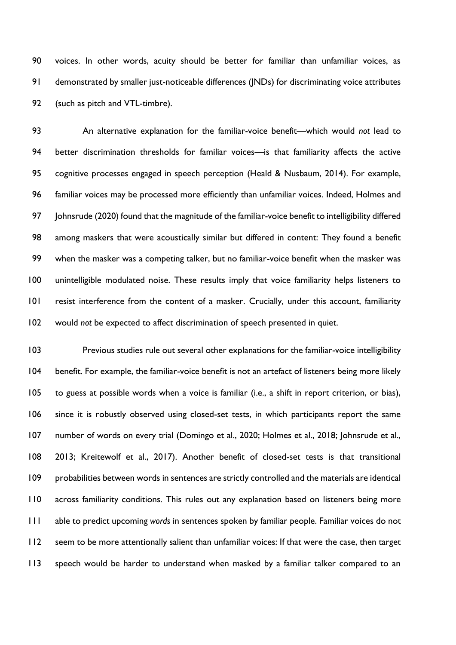voices. In other words, acuity should be better for familiar than unfamiliar voices, as demonstrated by smaller just-noticeable differences (JNDs) for discriminating voice attributes (such as pitch and VTL-timbre).

 An alternative explanation for the familiar-voice benefit—which would *not* lead to better discrimination thresholds for familiar voices—is that familiarity affects the active cognitive processes engaged in speech perception (Heald & Nusbaum, 2014). For example, familiar voices may be processed more efficiently than unfamiliar voices. Indeed, Holmes and 97 Johnsrude (2020) found that the magnitude of the familiar-voice benefit to intelligibility differed among maskers that were acoustically similar but differed in content: They found a benefit when the masker was a competing talker, but no familiar-voice benefit when the masker was unintelligible modulated noise. These results imply that voice familiarity helps listeners to resist interference from the content of a masker. Crucially, under this account, familiarity would *not* be expected to affect discrimination of speech presented in quiet.

 Previous studies rule out several other explanations for the familiar-voice intelligibility benefit. For example, the familiar-voice benefit is not an artefact of listeners being more likely to guess at possible words when a voice is familiar (i.e., a shift in report criterion, or bias), since it is robustly observed using closed-set tests, in which participants report the same number of words on every trial (Domingo et al., 2020; Holmes et al., 2018; Johnsrude et al., 2013; Kreitewolf et al., 2017). Another benefit of closed-set tests is that transitional probabilities between words in sentences are strictly controlled and the materials are identical across familiarity conditions. This rules out any explanation based on listeners being more able to predict upcoming *words* in sentences spoken by familiar people. Familiar voices do not seem to be more attentionally salient than unfamiliar voices: If that were the case, then target speech would be harder to understand when masked by a familiar talker compared to an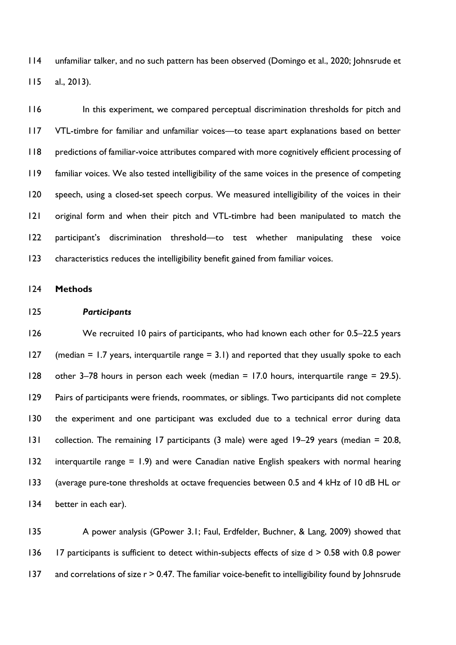unfamiliar talker, and no such pattern has been observed (Domingo et al., 2020; Johnsrude et al., 2013).

 In this experiment, we compared perceptual discrimination thresholds for pitch and VTL-timbre for familiar and unfamiliar voices—to tease apart explanations based on better predictions of familiar-voice attributes compared with more cognitively efficient processing of familiar voices. We also tested intelligibility of the same voices in the presence of competing 120 speech, using a closed-set speech corpus. We measured intelligibility of the voices in their original form and when their pitch and VTL-timbre had been manipulated to match the participant's discrimination threshold—to test whether manipulating these voice characteristics reduces the intelligibility benefit gained from familiar voices.

**Methods**

#### *Participants*

 We recruited 10 pairs of participants, who had known each other for 0.5–22.5 years 127 (median = 1.7 years, interquartile range =  $3.1$ ) and reported that they usually spoke to each other 3–78 hours in person each week (median = 17.0 hours, interquartile range = 29.5). Pairs of participants were friends, roommates, or siblings. Two participants did not complete 130 the experiment and one participant was excluded due to a technical error during data collection. The remaining 17 participants (3 male) were aged 19–29 years (median = 20.8, interquartile range = 1.9) and were Canadian native English speakers with normal hearing (average pure-tone thresholds at octave frequencies between 0.5 and 4 kHz of 10 dB HL or 134 better in each ear).

135 A power analysis (GPower 3.1; Faul, Erdfelder, Buchner, & Lang, 2009) showed that 136 17 participants is sufficient to detect within-subjects effects of size d > 0.58 with 0.8 power 137 and correlations of size r > 0.47. The familiar voice-benefit to intelligibility found by Johnsrude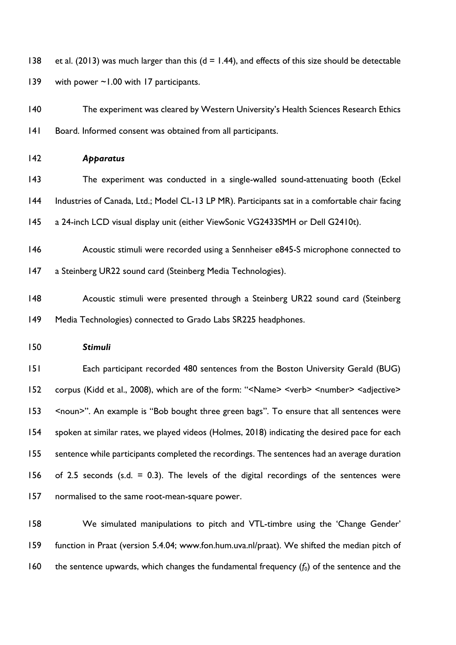138 et al. (2013) was much larger than this ( $d = 1.44$ ), and effects of this size should be detectable 139 with power ~1.00 with 17 participants.

 The experiment was cleared by Western University's Health Sciences Research Ethics Board. Informed consent was obtained from all participants.

# *Apparatus*

- The experiment was conducted in a single-walled sound-attenuating booth (Eckel Industries of Canada, Ltd.; Model CL-13 LP MR). Participants sat in a comfortable chair facing a 24-inch LCD visual display unit (either ViewSonic VG2433SMH or Dell G2410t).
- Acoustic stimuli were recorded using a Sennheiser e845-S microphone connected to 147 a Steinberg UR22 sound card (Steinberg Media Technologies).
- 148 Acoustic stimuli were presented through a Steinberg UR22 sound card (Steinberg Media Technologies) connected to Grado Labs SR225 headphones.
- *Stimuli*

 Each participant recorded 480 sentences from the Boston University Gerald (BUG) corpus (Kidd et al., 2008), which are of the form: "<Name> <verb> <number> <adjective> <noun>". An example is "Bob bought three green bags". To ensure that all sentences were spoken at similar rates, we played videos (Holmes, 2018) indicating the desired pace for each sentence while participants completed the recordings. The sentences had an average duration 156 of 2.5 seconds (s.d.  $= 0.3$ ). The levels of the digital recordings of the sentences were normalised to the same root-mean-square power.

 We simulated manipulations to pitch and VTL-timbre using the 'Change Gender' function in Praat (version 5.4.04; www.fon.hum.uva.nl/praat). We shifted the median pitch of 160 the sentence upwards, which changes the fundamental frequency  $(f_0)$  of the sentence and the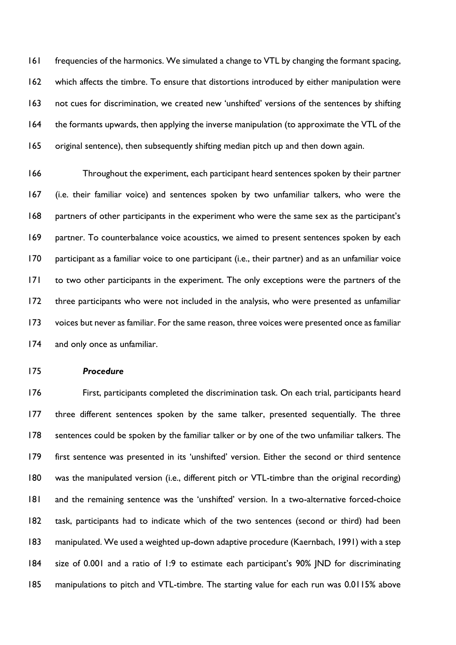frequencies of the harmonics. We simulated a change to VTL by changing the formant spacing, which affects the timbre. To ensure that distortions introduced by either manipulation were not cues for discrimination, we created new 'unshifted' versions of the sentences by shifting the formants upwards, then applying the inverse manipulation (to approximate the VTL of the original sentence), then subsequently shifting median pitch up and then down again.

 Throughout the experiment, each participant heard sentences spoken by their partner (i.e. their familiar voice) and sentences spoken by two unfamiliar talkers, who were the partners of other participants in the experiment who were the same sex as the participant's partner. To counterbalance voice acoustics, we aimed to present sentences spoken by each participant as a familiar voice to one participant (i.e., their partner) and as an unfamiliar voice to two other participants in the experiment. The only exceptions were the partners of the three participants who were not included in the analysis, who were presented as unfamiliar voices but never as familiar. For the same reason, three voices were presented once as familiar and only once as unfamiliar.

# *Procedure*

 First, participants completed the discrimination task. On each trial, participants heard three different sentences spoken by the same talker, presented sequentially. The three sentences could be spoken by the familiar talker or by one of the two unfamiliar talkers. The first sentence was presented in its 'unshifted' version. Either the second or third sentence was the manipulated version (i.e., different pitch or VTL-timbre than the original recording) and the remaining sentence was the 'unshifted' version. In a two-alternative forced-choice task, participants had to indicate which of the two sentences (second or third) had been manipulated. We used a weighted up-down adaptive procedure (Kaernbach, 1991) with a step size of 0.001 and a ratio of 1:9 to estimate each participant's 90% JND for discriminating manipulations to pitch and VTL-timbre. The starting value for each run was 0.0115% above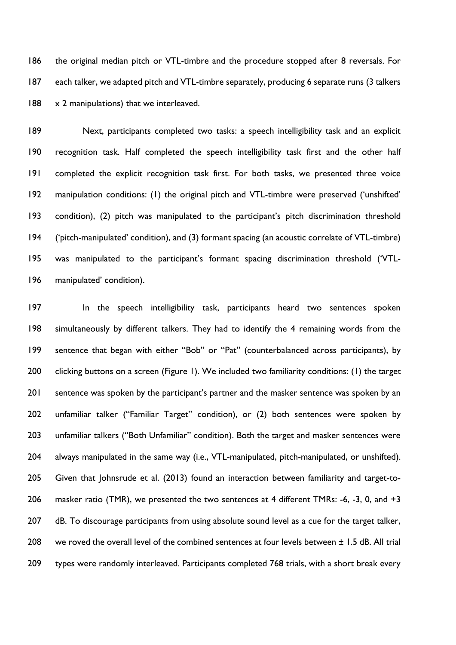the original median pitch or VTL-timbre and the procedure stopped after 8 reversals. For 187 each talker, we adapted pitch and VTL-timbre separately, producing 6 separate runs (3 talkers 188 x 2 manipulations) that we interleaved.

 Next, participants completed two tasks: a speech intelligibility task and an explicit recognition task. Half completed the speech intelligibility task first and the other half completed the explicit recognition task first. For both tasks, we presented three voice manipulation conditions: (1) the original pitch and VTL-timbre were preserved ('unshifted' condition), (2) pitch was manipulated to the participant's pitch discrimination threshold ('pitch-manipulated' condition), and (3) formant spacing (an acoustic correlate of VTL-timbre) was manipulated to the participant's formant spacing discrimination threshold ('VTL-manipulated' condition).

197 In the speech intelligibility task, participants heard two sentences spoken simultaneously by different talkers. They had to identify the 4 remaining words from the sentence that began with either "Bob" or "Pat" (counterbalanced across participants), by 200 clicking buttons on a screen (Figure 1). We included two familiarity conditions: (1) the target 201 sentence was spoken by the participant's partner and the masker sentence was spoken by an unfamiliar talker ("Familiar Target" condition), or (2) both sentences were spoken by unfamiliar talkers ("Both Unfamiliar" condition). Both the target and masker sentences were 204 always manipulated in the same way (i.e., VTL-manipulated, pitch-manipulated, or unshifted). Given that Johnsrude et al. (2013) found an interaction between familiarity and target-to-206 masker ratio (TMR), we presented the two sentences at 4 different TMRs: -6, -3, 0, and +3 207 dB. To discourage participants from using absolute sound level as a cue for the target talker, 208 we roved the overall level of the combined sentences at four levels between  $\pm$  1.5 dB. All trial types were randomly interleaved. Participants completed 768 trials, with a short break every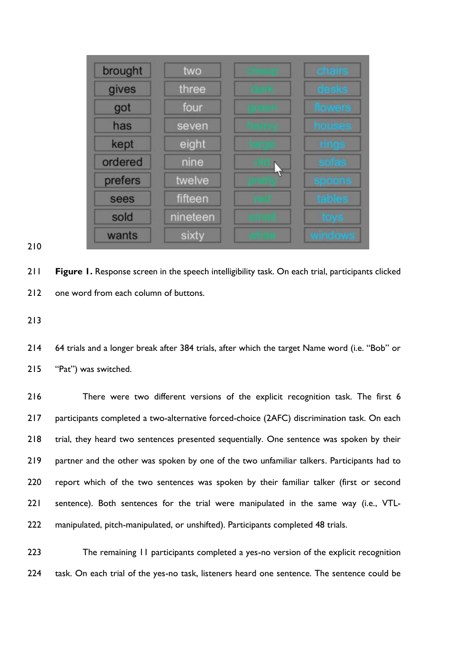| brought | two      | <b>TURNER</b>    | <b>chairs</b>   |
|---------|----------|------------------|-----------------|
| gives   | three    | m                | <b>DESK</b>     |
| got     | four     | 电阻机              | flowers         |
| has     | seven    | <b>MATTER SA</b> | houses          |
| kept    | eight    |                  | rings           |
| ordered | nine     |                  | sofas           |
| prefers | twelve   |                  | spoons          |
| sees    | fifteen  | m                | table.          |
| sold    | nineteen | <b>THE</b>       | <b>TOW</b>      |
| wants   | sixty    | AN IT            | <b>MITIO OW</b> |

# 

 **Figure 1.** Response screen in the speech intelligibility task. On each trial, participants clicked 212 one word from each column of buttons.

 64 trials and a longer break after 384 trials, after which the target Name word (i.e. "Bob" or "Pat") was switched.

 There were two different versions of the explicit recognition task. The first 6 217 participants completed a two-alternative forced-choice (2AFC) discrimination task. On each trial, they heard two sentences presented sequentially. One sentence was spoken by their partner and the other was spoken by one of the two unfamiliar talkers. Participants had to report which of the two sentences was spoken by their familiar talker (first or second sentence). Both sentences for the trial were manipulated in the same way (i.e., VTL-manipulated, pitch-manipulated, or unshifted). Participants completed 48 trials.

223 The remaining 11 participants completed a yes-no version of the explicit recognition 224 task. On each trial of the yes-no task, listeners heard one sentence. The sentence could be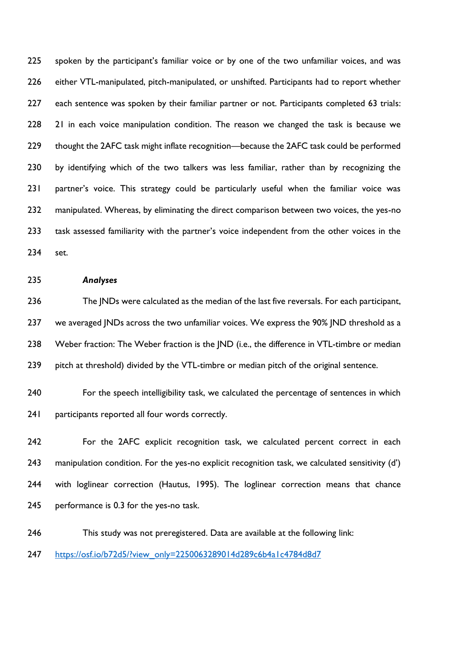225 spoken by the participant's familiar voice or by one of the two unfamiliar voices, and was 226 either VTL-manipulated, pitch-manipulated, or unshifted. Participants had to report whether 227 each sentence was spoken by their familiar partner or not. Participants completed 63 trials: 228 21 in each voice manipulation condition. The reason we changed the task is because we 229 thought the 2AFC task might inflate recognition—because the 2AFC task could be performed 230 by identifying which of the two talkers was less familiar, rather than by recognizing the 231 partner's voice. This strategy could be particularly useful when the familiar voice was 232 manipulated. Whereas, by eliminating the direct comparison between two voices, the yes-no 233 task assessed familiarity with the partner's voice independent from the other voices in the 234 set.

#### 235 *Analyses*

236 The JNDs were calculated as the median of the last five reversals. For each participant, 237 we averaged JNDs across the two unfamiliar voices. We express the 90% JND threshold as a 238 Weber fraction: The Weber fraction is the JND (i.e., the difference in VTL-timbre or median 239 pitch at threshold) divided by the VTL-timbre or median pitch of the original sentence.

240 For the speech intelligibility task, we calculated the percentage of sentences in which 241 participants reported all four words correctly.

 For the 2AFC explicit recognition task, we calculated percent correct in each 243 manipulation condition. For the yes-no explicit recognition task, we calculated sensitivity (d') with loglinear correction (Hautus, 1995). The loglinear correction means that chance performance is 0.3 for the yes-no task.

246 This study was not preregistered. Data are available at the following link:

247 [https://osf.io/b72d5/?view\\_only=2250063289014d289c6b4a1c4784d8d7](https://osf.io/b72d5/?view_only=2250063289014d289c6b4a1c4784d8d7)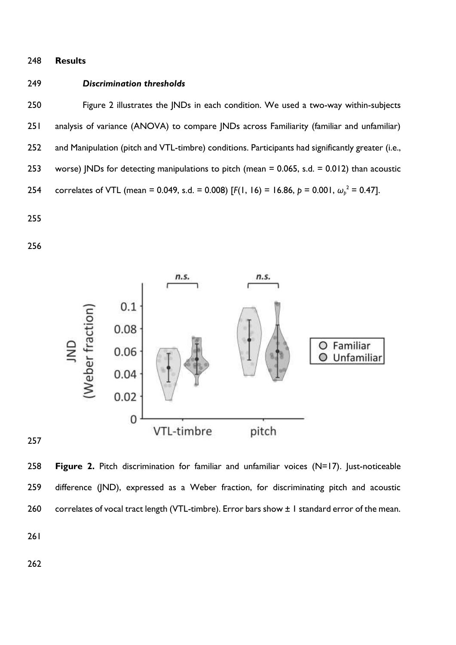#### **Results**

### *Discrimination thresholds*

 Figure 2 illustrates the JNDs in each condition. We used a two-way within-subjects 251 analysis of variance (ANOVA) to compare JNDs across Familiarity (familiar and unfamiliar) 252 and Manipulation (pitch and VTL-timbre) conditions. Participants had significantly greater (i.e., worse) JNDs for detecting manipulations to pitch (mean = 0.065, s.d. = 0.012) than acoustic 254 correlates of VTL (mean = 0.049, s.d. = 0.008) [ $F(1, 16) = 16.86$ ,  $p = 0.001$ ,  $\omega_p^2 = 0.47$ ].



 **Figure 2.** Pitch discrimination for familiar and unfamiliar voices (N=17). Just-noticeable difference (JND), expressed as a Weber fraction, for discriminating pitch and acoustic 260 correlates of vocal tract length (VTL-timbre). Error bars show  $\pm 1$  standard error of the mean.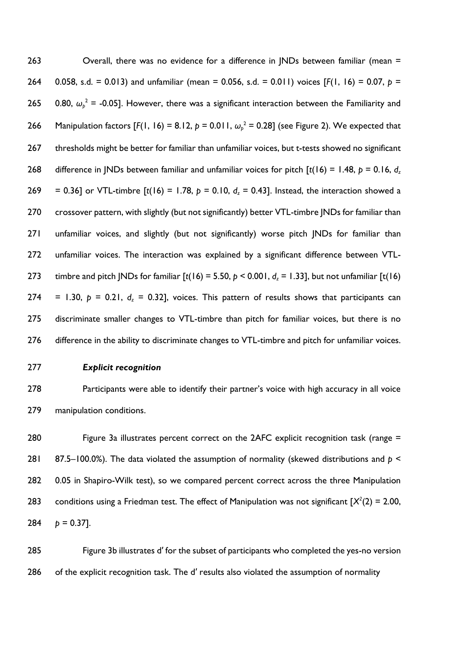263 Overall, there was no evidence for a difference in JNDs between familiar (mean = 264 0.058, s.d. = 0.013) and unfamiliar (mean = 0.056, s.d. = 0.011) voices [*F*(1, 16) = 0.07, *p* = 265 0.80,  $\omega_p^2$  = -0.05]. However, there was a significant interaction between the Familiarity and 266 Manipulation factors [F(1, 16) = 8.12,  $p = 0.011$ ,  $\omega_p^2 = 0.28$ ] (see Figure 2). We expected that 267 thresholds might be better for familiar than unfamiliar voices, but t-tests showed no significant 268 difference in JNDs between familiar and unfamiliar voices for pitch  $[t(16) = 1.48, p = 0.16, d$ 269 = 0.36] or VTL-timbre  $[t(16) = 1.78, p = 0.10, d<sub>z</sub> = 0.43]$ . Instead, the interaction showed a 270 crossover pattern, with slightly (but not significantly) better VTL-timbre JNDs for familiar than 271 unfamiliar voices, and slightly (but not significantly) worse pitch JNDs for familiar than 272 unfamiliar voices. The interaction was explained by a significant difference between VTL-273 timbre and pitch JNDs for familiar  $[t(16) = 5.50, p < 0.001, d_z = 1.33]$ , but not unfamiliar  $[t(16)$ 274 = 1.30,  $p = 0.21$ ,  $d<sub>z</sub> = 0.32$ ], voices. This pattern of results shows that participants can 275 discriminate smaller changes to VTL-timbre than pitch for familiar voices, but there is no 276 difference in the ability to discriminate changes to VTL-timbre and pitch for unfamiliar voices.

#### 277 *Explicit recognition*

278 Participants were able to identify their partner's voice with high accuracy in all voice 279 manipulation conditions.

280 Figure 3a illustrates percent correct on the 2AFC explicit recognition task (range = 281 87.5–100.0%). The data violated the assumption of normality (skewed distributions and *p* < 282 0.05 in Shapiro-Wilk test), so we compared percent correct across the three Manipulation 283 conditions using a Friedman test. The effect of Manipulation was not significant  $[X^2(2) = 2.00$ , 284  $p = 0.37$ ].

285 Figure 3b illustrates d′ for the subset of participants who completed the yes-no version 286 of the explicit recognition task. The d' results also violated the assumption of normality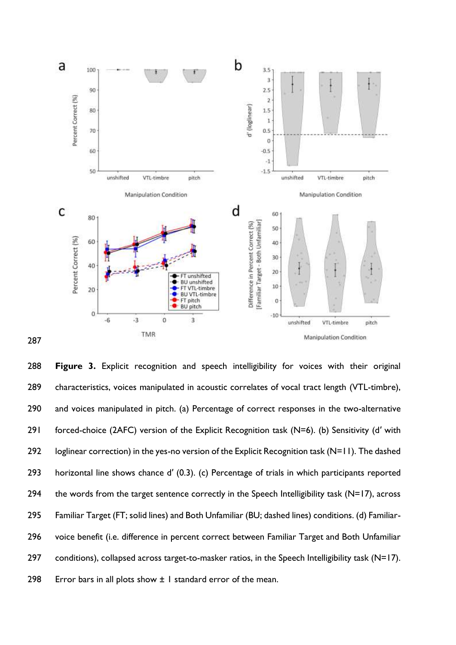

287

288 **Figure 3.** Explicit recognition and speech intelligibility for voices with their original 289 characteristics, voices manipulated in acoustic correlates of vocal tract length (VTL-timbre), 290 and voices manipulated in pitch. (a) Percentage of correct responses in the two-alternative 291 forced-choice (2AFC) version of the Explicit Recognition task (N=6). (b) Sensitivity (d' with 292 loglinear correction) in the yes-no version of the Explicit Recognition task (N=11). The dashed 293 horizontal line shows chance d′ (0.3). (c) Percentage of trials in which participants reported 294 the words from the target sentence correctly in the Speech Intelligibility task (N=17), across 295 Familiar Target (FT; solid lines) and Both Unfamiliar (BU; dashed lines) conditions. (d) Familiar-296 voice benefit (i.e. difference in percent correct between Familiar Target and Both Unfamiliar 297 conditions), collapsed across target-to-masker ratios, in the Speech Intelligibility task (N=17). 298 Error bars in all plots show  $\pm 1$  standard error of the mean.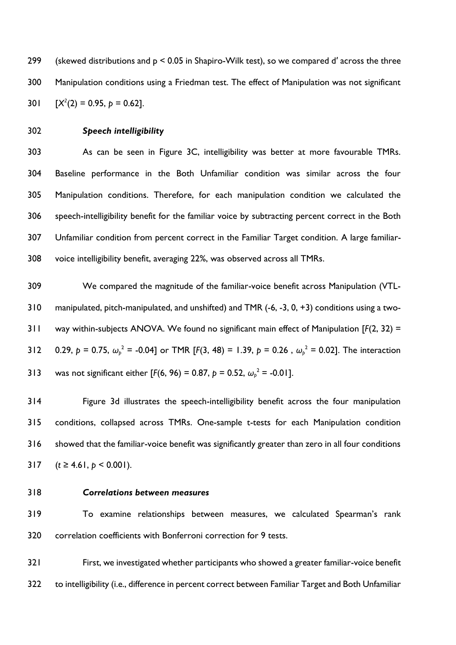(skewed distributions and p < 0.05 in Shapiro-Wilk test), so we compared d′ across the three Manipulation conditions using a Friedman test. The effect of Manipulation was not significant 301  $[X^2(2) = 0.95, p = 0.62].$ 

# *Speech intelligibility*

 As can be seen in Figure 3C, intelligibility was better at more favourable TMRs. Baseline performance in the Both Unfamiliar condition was similar across the four Manipulation conditions. Therefore, for each manipulation condition we calculated the speech-intelligibility benefit for the familiar voice by subtracting percent correct in the Both Unfamiliar condition from percent correct in the Familiar Target condition. A large familiar-voice intelligibility benefit, averaging 22%, was observed across all TMRs.

 We compared the magnitude of the familiar-voice benefit across Manipulation (VTL- manipulated, pitch-manipulated, and unshifted) and TMR (-6, -3, 0, +3) conditions using a two- way within-subjects ANOVA. We found no significant main effect of Manipulation [*F*(2, 32) = 312 0.29,  $p = 0.75$ ,  $\omega_p^2 = -0.04$ ] or TMR [*F*(3, 48) = 1.39,  $p = 0.26$ ,  $\omega_p^2 = 0.02$ ]. The interaction 313 was not significant either [ $F(6, 96) = 0.87$ ,  $p = 0.52$ ,  $\omega_p^2 = -0.01$ ].

 Figure 3d illustrates the speech-intelligibility benefit across the four manipulation conditions, collapsed across TMRs. One-sample t-tests for each Manipulation condition showed that the familiar-voice benefit was significantly greater than zero in all four conditions  $(t \ge 4.61, p \le 0.001)$ .

#### *Correlations between measures*

 To examine relationships between measures, we calculated Spearman's rank correlation coefficients with Bonferroni correction for 9 tests.

 First, we investigated whether participants who showed a greater familiar-voice benefit 322 to intelligibility (i.e., difference in percent correct between Familiar Target and Both Unfamiliar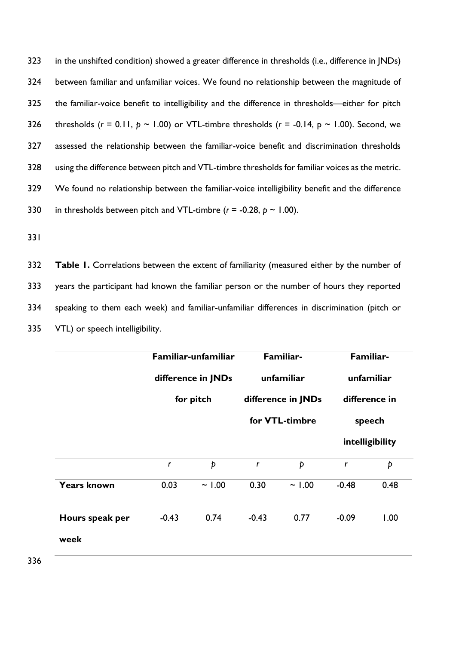in the unshifted condition) showed a greater difference in thresholds (i.e., difference in JNDs) between familiar and unfamiliar voices. We found no relationship between the magnitude of the familiar-voice benefit to intelligibility and the difference in thresholds—either for pitch 326 thresholds  $(r = 0.11, p \sim 1.00)$  or VTL-timbre thresholds  $(r = -0.14, p \sim 1.00)$ . Second, we assessed the relationship between the familiar-voice benefit and discrimination thresholds using the difference between pitch and VTL-timbre thresholds for familiar voices as the metric. We found no relationship between the familiar-voice intelligibility benefit and the difference 330 in thresholds between pitch and VTL-timbre  $(r = -0.28, p \sim 1.00)$ .

331

332 **Table 1.** Correlations between the extent of familiarity (measured either by the number of 333 years the participant had known the familiar person or the number of hours they reported 334 speaking to them each week) and familiar-unfamiliar differences in discrimination (pitch or 335 VTL) or speech intelligibility.

|                    | Familiar-unfamiliar<br>difference in JNDs<br>for pitch |       | Familiar-<br>unfamiliar<br>difference in JNDs |       | Familiar-<br>unfamiliar<br>difference in<br>speech |      |
|--------------------|--------------------------------------------------------|-------|-----------------------------------------------|-------|----------------------------------------------------|------|
|                    |                                                        |       |                                               |       |                                                    |      |
|                    |                                                        |       |                                               |       |                                                    |      |
|                    |                                                        |       | for VTL-timbre                                |       |                                                    |      |
|                    |                                                        |       |                                               |       | intelligibility                                    |      |
|                    | $\mathbf{r}$                                           | Þ     | $\mathbf{r}$                                  | Þ     | $\mathbf{r}$                                       | Þ    |
| <b>Years known</b> | 0.03                                                   | ~1.00 | 0.30                                          | ~1.00 | $-0.48$                                            | 0.48 |
| Hours speak per    | $-0.43$                                                | 0.74  | $-0.43$                                       | 0.77  | $-0.09$                                            | 1.00 |
| week               |                                                        |       |                                               |       |                                                    |      |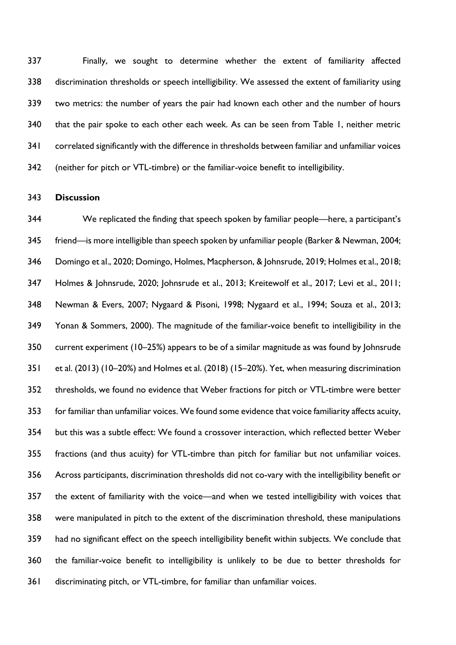Finally, we sought to determine whether the extent of familiarity affected discrimination thresholds or speech intelligibility. We assessed the extent of familiarity using two metrics: the number of years the pair had known each other and the number of hours that the pair spoke to each other each week. As can be seen from Table 1, neither metric 341 correlated significantly with the difference in thresholds between familiar and unfamiliar voices (neither for pitch or VTL-timbre) or the familiar-voice benefit to intelligibility.

### **Discussion**

 We replicated the finding that speech spoken by familiar people—here, a participant's friend—is more intelligible than speech spoken by unfamiliar people (Barker & Newman, 2004; Domingo et al., 2020; Domingo, Holmes, Macpherson, & Johnsrude, 2019; Holmes et al., 2018; Holmes & Johnsrude, 2020; Johnsrude et al., 2013; Kreitewolf et al., 2017; Levi et al., 2011; Newman & Evers, 2007; Nygaard & Pisoni, 1998; Nygaard et al., 1994; Souza et al., 2013; Yonan & Sommers, 2000). The magnitude of the familiar-voice benefit to intelligibility in the current experiment (10–25%) appears to be of a similar magnitude as was found by Johnsrude et al. (2013) (10–20%) and Holmes et al. (2018) (15–20%). Yet, when measuring discrimination thresholds, we found no evidence that Weber fractions for pitch or VTL-timbre were better for familiar than unfamiliar voices. We found some evidence that voice familiarity affects acuity, but this was a subtle effect: We found a crossover interaction, which reflected better Weber fractions (and thus acuity) for VTL-timbre than pitch for familiar but not unfamiliar voices. Across participants, discrimination thresholds did not co-vary with the intelligibility benefit or the extent of familiarity with the voice—and when we tested intelligibility with voices that were manipulated in pitch to the extent of the discrimination threshold, these manipulations had no significant effect on the speech intelligibility benefit within subjects. We conclude that the familiar-voice benefit to intelligibility is unlikely to be due to better thresholds for discriminating pitch, or VTL-timbre, for familiar than unfamiliar voices.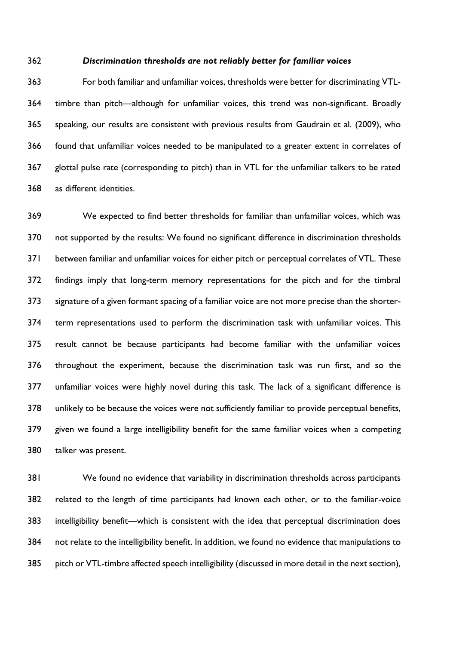#### *Discrimination thresholds are not reliably better for familiar voices*

 For both familiar and unfamiliar voices, thresholds were better for discriminating VTL- timbre than pitch—although for unfamiliar voices, this trend was non-significant. Broadly speaking, our results are consistent with previous results from Gaudrain et al. (2009), who found that unfamiliar voices needed to be manipulated to a greater extent in correlates of glottal pulse rate (corresponding to pitch) than in VTL for the unfamiliar talkers to be rated as different identities.

 We expected to find better thresholds for familiar than unfamiliar voices, which was not supported by the results: We found no significant difference in discrimination thresholds between familiar and unfamiliar voices for either pitch or perceptual correlates of VTL. These findings imply that long-term memory representations for the pitch and for the timbral signature of a given formant spacing of a familiar voice are not more precise than the shorter- term representations used to perform the discrimination task with unfamiliar voices. This result cannot be because participants had become familiar with the unfamiliar voices throughout the experiment, because the discrimination task was run first, and so the unfamiliar voices were highly novel during this task. The lack of a significant difference is unlikely to be because the voices were not sufficiently familiar to provide perceptual benefits, given we found a large intelligibility benefit for the same familiar voices when a competing talker was present.

 We found no evidence that variability in discrimination thresholds across participants related to the length of time participants had known each other, or to the familiar-voice intelligibility benefit—which is consistent with the idea that perceptual discrimination does not relate to the intelligibility benefit. In addition, we found no evidence that manipulations to pitch or VTL-timbre affected speech intelligibility (discussed in more detail in the next section),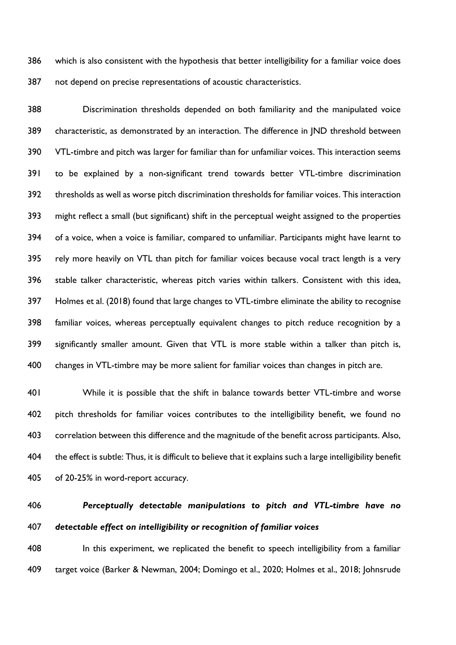which is also consistent with the hypothesis that better intelligibility for a familiar voice does not depend on precise representations of acoustic characteristics.

 Discrimination thresholds depended on both familiarity and the manipulated voice characteristic, as demonstrated by an interaction. The difference in JND threshold between VTL-timbre and pitch was larger for familiar than for unfamiliar voices. This interaction seems to be explained by a non-significant trend towards better VTL-timbre discrimination thresholds as well as worse pitch discrimination thresholds for familiar voices. This interaction might reflect a small (but significant) shift in the perceptual weight assigned to the properties of a voice, when a voice is familiar, compared to unfamiliar. Participants might have learnt to rely more heavily on VTL than pitch for familiar voices because vocal tract length is a very stable talker characteristic, whereas pitch varies within talkers. Consistent with this idea, Holmes et al. (2018) found that large changes to VTL-timbre eliminate the ability to recognise familiar voices, whereas perceptually equivalent changes to pitch reduce recognition by a significantly smaller amount. Given that VTL is more stable within a talker than pitch is, changes in VTL-timbre may be more salient for familiar voices than changes in pitch are.

 While it is possible that the shift in balance towards better VTL-timbre and worse pitch thresholds for familiar voices contributes to the intelligibility benefit, we found no correlation between this difference and the magnitude of the benefit across participants. Also, the effect is subtle: Thus, it is difficult to believe that it explains such a large intelligibility benefit of 20-25% in word-report accuracy.

# *Perceptually detectable manipulations to pitch and VTL-timbre have no detectable effect on intelligibility or recognition of familiar voices*

408 In this experiment, we replicated the benefit to speech intelligibility from a familiar target voice (Barker & Newman, 2004; Domingo et al., 2020; Holmes et al., 2018; Johnsrude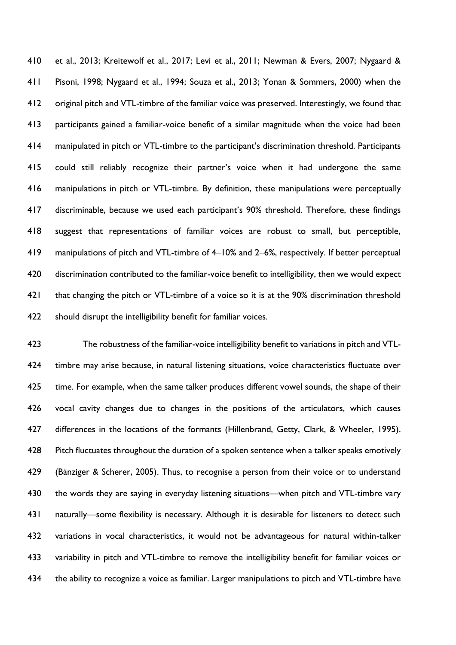et al., 2013; Kreitewolf et al., 2017; Levi et al., 2011; Newman & Evers, 2007; Nygaard & Pisoni, 1998; Nygaard et al., 1994; Souza et al., 2013; Yonan & Sommers, 2000) when the original pitch and VTL-timbre of the familiar voice was preserved. Interestingly, we found that participants gained a familiar-voice benefit of a similar magnitude when the voice had been manipulated in pitch or VTL-timbre to the participant's discrimination threshold. Participants could still reliably recognize their partner's voice when it had undergone the same manipulations in pitch or VTL-timbre. By definition, these manipulations were perceptually discriminable, because we used each participant's 90% threshold. Therefore, these findings suggest that representations of familiar voices are robust to small, but perceptible, manipulations of pitch and VTL-timbre of 4–10% and 2–6%, respectively. If better perceptual discrimination contributed to the familiar-voice benefit to intelligibility, then we would expect 421 that changing the pitch or VTL-timbre of a voice so it is at the 90% discrimination threshold should disrupt the intelligibility benefit for familiar voices.

 The robustness of the familiar-voice intelligibility benefit to variations in pitch and VTL- timbre may arise because, in natural listening situations, voice characteristics fluctuate over time. For example, when the same talker produces different vowel sounds, the shape of their vocal cavity changes due to changes in the positions of the articulators, which causes 427 differences in the locations of the formants (Hillenbrand, Getty, Clark, & Wheeler, 1995). Pitch fluctuates throughout the duration of a spoken sentence when a talker speaks emotively (Bänziger & Scherer, 2005). Thus, to recognise a person from their voice or to understand 430 the words they are saying in everyday listening situations—when pitch and VTL-timbre vary 431 naturally—some flexibility is necessary. Although it is desirable for listeners to detect such variations in vocal characteristics, it would not be advantageous for natural within-talker variability in pitch and VTL-timbre to remove the intelligibility benefit for familiar voices or 434 the ability to recognize a voice as familiar. Larger manipulations to pitch and VTL-timbre have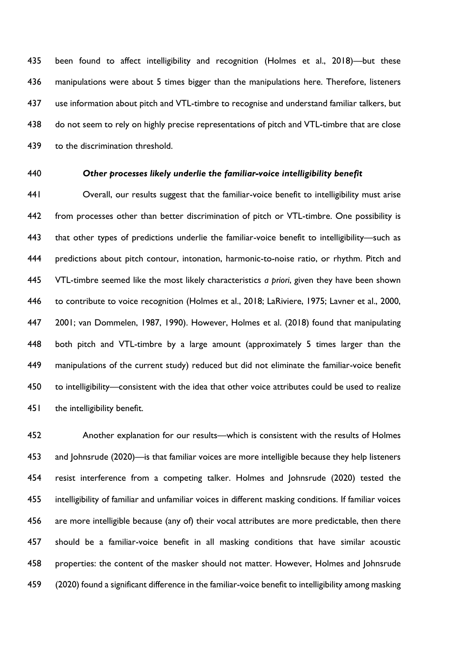been found to affect intelligibility and recognition (Holmes et al., 2018)—but these manipulations were about 5 times bigger than the manipulations here. Therefore, listeners use information about pitch and VTL-timbre to recognise and understand familiar talkers, but 438 do not seem to rely on highly precise representations of pitch and VTL-timbre that are close to the discrimination threshold.

### *Other processes likely underlie the familiar-voice intelligibility benefit*

 Overall, our results suggest that the familiar-voice benefit to intelligibility must arise 442 from processes other than better discrimination of pitch or VTL-timbre. One possibility is 443 that other types of predictions underlie the familiar-voice benefit to intelligibility—such as predictions about pitch contour, intonation, harmonic-to-noise ratio, or rhythm. Pitch and VTL-timbre seemed like the most likely characteristics *a priori*, given they have been shown to contribute to voice recognition (Holmes et al., 2018; LaRiviere, 1975; Lavner et al., 2000, 2001; van Dommelen, 1987, 1990). However, Holmes et al. (2018) found that manipulating both pitch and VTL-timbre by a large amount (approximately 5 times larger than the manipulations of the current study) reduced but did not eliminate the familiar-voice benefit to intelligibility—consistent with the idea that other voice attributes could be used to realize 451 the intelligibility benefit.

 Another explanation for our results—which is consistent with the results of Holmes and Johnsrude (2020)—is that familiar voices are more intelligible because they help listeners resist interference from a competing talker. Holmes and Johnsrude (2020) tested the intelligibility of familiar and unfamiliar voices in different masking conditions. If familiar voices are more intelligible because (any of) their vocal attributes are more predictable, then there should be a familiar-voice benefit in all masking conditions that have similar acoustic properties: the content of the masker should not matter. However, Holmes and Johnsrude (2020) found a significant difference in the familiar-voice benefit to intelligibility among masking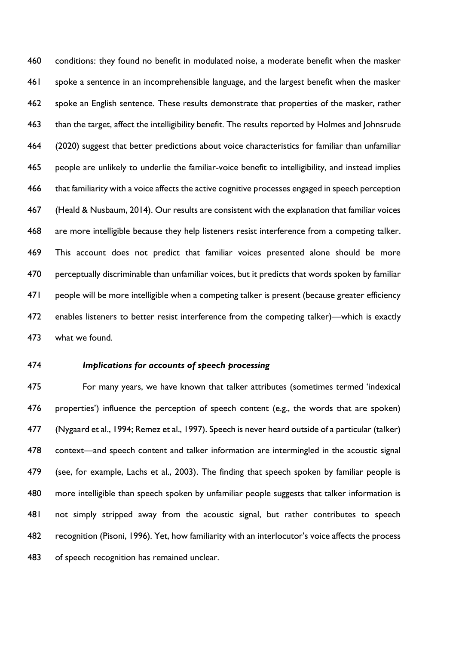conditions: they found no benefit in modulated noise, a moderate benefit when the masker spoke a sentence in an incomprehensible language, and the largest benefit when the masker spoke an English sentence. These results demonstrate that properties of the masker, rather than the target, affect the intelligibility benefit. The results reported by Holmes and Johnsrude (2020) suggest that better predictions about voice characteristics for familiar than unfamiliar people are unlikely to underlie the familiar-voice benefit to intelligibility, and instead implies that familiarity with a voice affects the active cognitive processes engaged in speech perception (Heald & Nusbaum, 2014). Our results are consistent with the explanation that familiar voices are more intelligible because they help listeners resist interference from a competing talker. This account does not predict that familiar voices presented alone should be more perceptually discriminable than unfamiliar voices, but it predicts that words spoken by familiar people will be more intelligible when a competing talker is present (because greater efficiency enables listeners to better resist interference from the competing talker)—which is exactly what we found.

# *Implications for accounts of speech processing*

 For many years, we have known that talker attributes (sometimes termed 'indexical properties') influence the perception of speech content (e.g., the words that are spoken) (Nygaard et al., 1994; Remez et al., 1997). Speech is never heard outside of a particular (talker) context—and speech content and talker information are intermingled in the acoustic signal (see, for example, Lachs et al., 2003). The finding that speech spoken by familiar people is more intelligible than speech spoken by unfamiliar people suggests that talker information is not simply stripped away from the acoustic signal, but rather contributes to speech recognition (Pisoni, 1996). Yet, how familiarity with an interlocutor's voice affects the process of speech recognition has remained unclear.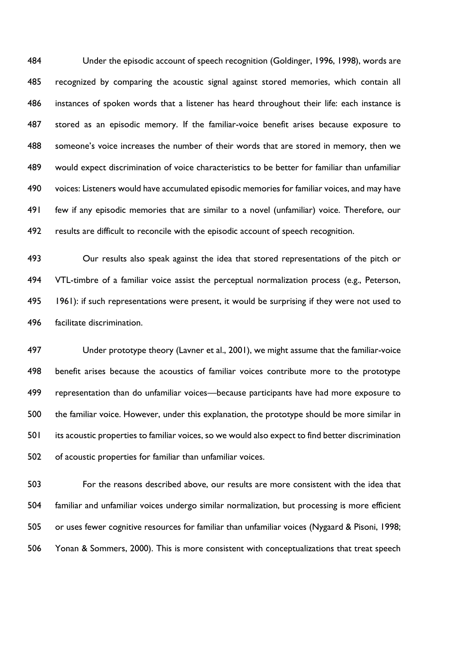Under the episodic account of speech recognition (Goldinger, 1996, 1998), words are recognized by comparing the acoustic signal against stored memories, which contain all instances of spoken words that a listener has heard throughout their life: each instance is stored as an episodic memory. If the familiar-voice benefit arises because exposure to someone's voice increases the number of their words that are stored in memory, then we would expect discrimination of voice characteristics to be better for familiar than unfamiliar voices: Listeners would have accumulated episodic memories for familiar voices, and may have few if any episodic memories that are similar to a novel (unfamiliar) voice. Therefore, our results are difficult to reconcile with the episodic account of speech recognition.

 Our results also speak against the idea that stored representations of the pitch or VTL-timbre of a familiar voice assist the perceptual normalization process (e.g., Peterson, 1961): if such representations were present, it would be surprising if they were not used to facilitate discrimination.

 Under prototype theory (Lavner et al., 2001), we might assume that the familiar-voice benefit arises because the acoustics of familiar voices contribute more to the prototype representation than do unfamiliar voices—because participants have had more exposure to the familiar voice. However, under this explanation, the prototype should be more similar in its acoustic properties to familiar voices, so we would also expect to find better discrimination of acoustic properties for familiar than unfamiliar voices.

 For the reasons described above, our results are more consistent with the idea that familiar and unfamiliar voices undergo similar normalization, but processing is more efficient or uses fewer cognitive resources for familiar than unfamiliar voices (Nygaard & Pisoni, 1998; Yonan & Sommers, 2000). This is more consistent with conceptualizations that treat speech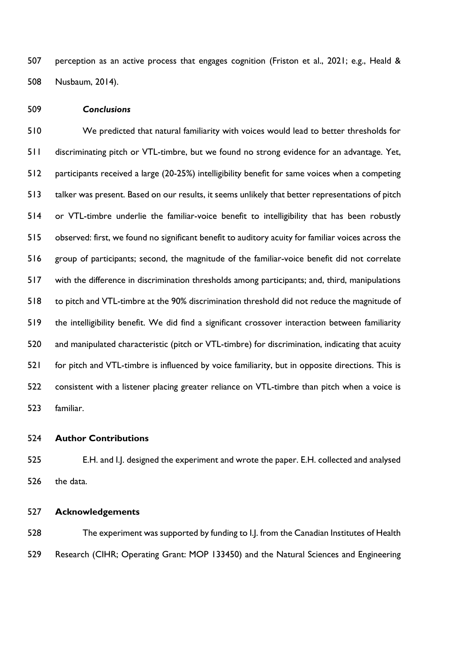perception as an active process that engages cognition (Friston et al., 2021; e.g., Heald & Nusbaum, 2014).

*Conclusions*

 We predicted that natural familiarity with voices would lead to better thresholds for discriminating pitch or VTL-timbre, but we found no strong evidence for an advantage. Yet, participants received a large (20-25%) intelligibility benefit for same voices when a competing talker was present. Based on our results, it seems unlikely that better representations of pitch or VTL-timbre underlie the familiar-voice benefit to intelligibility that has been robustly observed: first, we found no significant benefit to auditory acuity for familiar voices across the group of participants; second, the magnitude of the familiar-voice benefit did not correlate with the difference in discrimination thresholds among participants; and, third, manipulations to pitch and VTL-timbre at the 90% discrimination threshold did not reduce the magnitude of the intelligibility benefit. We did find a significant crossover interaction between familiarity and manipulated characteristic (pitch or VTL-timbre) for discrimination, indicating that acuity for pitch and VTL-timbre is influenced by voice familiarity, but in opposite directions. This is consistent with a listener placing greater reliance on VTL-timbre than pitch when a voice is familiar.

**Author Contributions**

 E.H. and I.J. designed the experiment and wrote the paper. E.H. collected and analysed the data.

**Acknowledgements**

 The experiment was supported by funding to I.J. from the Canadian Institutes of Health Research (CIHR; Operating Grant: MOP 133450) and the Natural Sciences and Engineering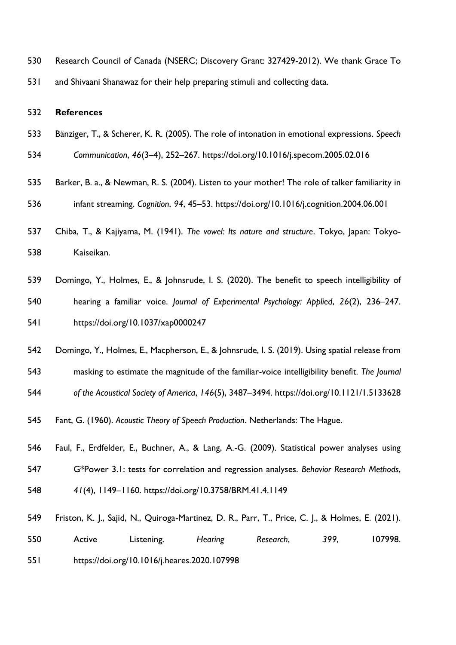Research Council of Canada (NSERC; Discovery Grant: 327429-2012). We thank Grace To and Shivaani Shanawaz for their help preparing stimuli and collecting data.

#### **References**

- Bänziger, T., & Scherer, K. R. (2005). The role of intonation in emotional expressions. *Speech*
- *Communication*, *46*(3–4), 252–267. https://doi.org/10.1016/j.specom.2005.02.016
- Barker, B. a., & Newman, R. S. (2004). Listen to your mother! The role of talker familiarity in infant streaming. *Cognition*, *94*, 45–53. https://doi.org/10.1016/j.cognition.2004.06.001
- Chiba, T., & Kajiyama, M. (1941). *The vowel: Its nature and structure*. Tokyo, Japan: Tokyo-Kaiseikan.
- Domingo, Y., Holmes, E., & Johnsrude, I. S. (2020). The benefit to speech intelligibility of hearing a familiar voice. *Journal of Experimental Psychology: Applied*, *26*(2), 236–247. https://doi.org/10.1037/xap0000247
- Domingo, Y., Holmes, E., Macpherson, E., & Johnsrude, I. S. (2019). Using spatial release from
- masking to estimate the magnitude of the familiar-voice intelligibility benefit. *The Journal*
- *of the Acoustical Society of America*, *146*(5), 3487–3494. https://doi.org/10.1121/1.5133628
- Fant, G. (1960). *Acoustic Theory of Speech Production*. Netherlands: The Hague.
- Faul, F., Erdfelder, E., Buchner, A., & Lang, A.-G. (2009). Statistical power analyses using G\*Power 3.1: tests for correlation and regression analyses. *Behavior Research Methods*, *41*(4), 1149–1160. https://doi.org/10.3758/BRM.41.4.1149
- Friston, K. J., Sajid, N., Quiroga-Martinez, D. R., Parr, T., Price, C. J., & Holmes, E. (2021). Active Listening. *Hearing Research*, *399*, 107998.
- https://doi.org/10.1016/j.heares.2020.107998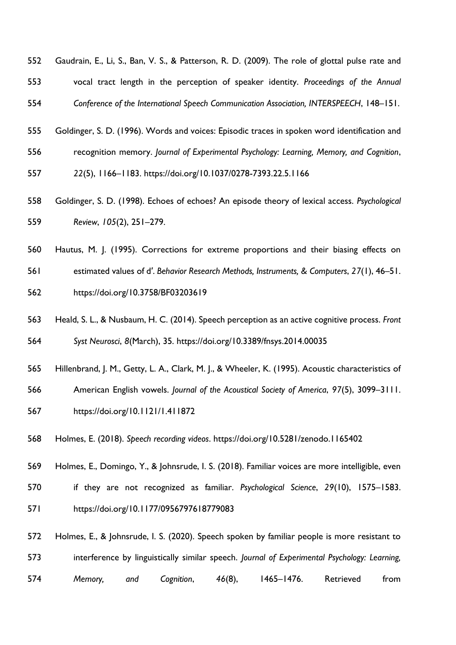- Gaudrain, E., Li, S., Ban, V. S., & Patterson, R. D. (2009). The role of glottal pulse rate and vocal tract length in the perception of speaker identity. *Proceedings of the Annual Conference of the International Speech Communication Association, INTERSPEECH*, 148–151.
- Goldinger, S. D. (1996). Words and voices: Episodic traces in spoken word identification and
- recognition memory. *Journal of Experimental Psychology: Learning, Memory, and Cognition*,
- *22*(5), 1166–1183. https://doi.org/10.1037/0278-7393.22.5.1166
- Goldinger, S. D. (1998). Echoes of echoes? An episode theory of lexical access. *Psychological Review*, *105*(2), 251–279.
- Hautus, M. J. (1995). Corrections for extreme proportions and their biasing effects on
- estimated values of d′. *Behavior Research Methods, Instruments, & Computers*, *27*(1), 46–51.
- https://doi.org/10.3758/BF03203619
- Heald, S. L., & Nusbaum, H. C. (2014). Speech perception as an active cognitive process. *Front Syst Neurosci*, *8*(March), 35. https://doi.org/10.3389/fnsys.2014.00035
- Hillenbrand, J. M., Getty, L. A., Clark, M. J., & Wheeler, K. (1995). Acoustic characteristics of
- American English vowels. *Journal of the Acoustical Society of America*, *97*(5), 3099–3111.
- https://doi.org/10.1121/1.411872
- Holmes, E. (2018). *Speech recording videos*. https://doi.org/10.5281/zenodo.1165402
- Holmes, E., Domingo, Y., & Johnsrude, I. S. (2018). Familiar voices are more intelligible, even
- if they are not recognized as familiar. *Psychological Science*, *29*(10), 1575–1583. https://doi.org/10.1177/0956797618779083
- Holmes, E., & Johnsrude, I. S. (2020). Speech spoken by familiar people is more resistant to interference by linguistically similar speech. *Journal of Experimental Psychology: Learning, Memory, and Cognition*, *46*(8), 1465–1476. Retrieved from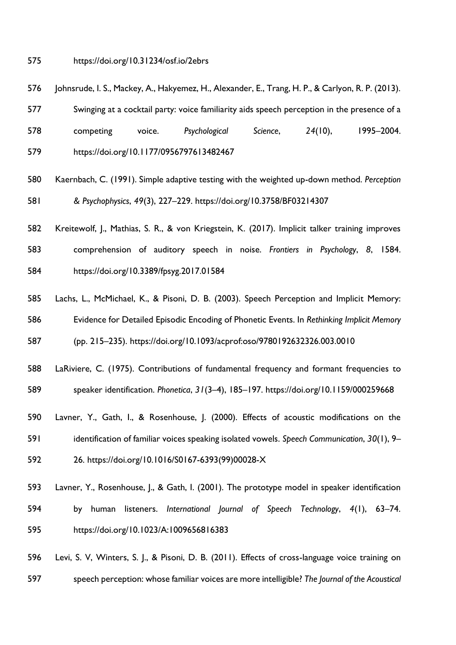#### https://doi.org/10.31234/osf.io/2ebrs

- Johnsrude, I. S., Mackey, A., Hakyemez, H., Alexander, E., Trang, H. P., & Carlyon, R. P. (2013).
- Swinging at a cocktail party: voice familiarity aids speech perception in the presence of a
- competing voice. *Psychological Science*, *24*(10), 1995–2004. https://doi.org/10.1177/0956797613482467
- Kaernbach, C. (1991). Simple adaptive testing with the weighted up-down method. *Perception & Psychophysics*, *49*(3), 227–229. https://doi.org/10.3758/BF03214307
- Kreitewolf, J., Mathias, S. R., & von Kriegstein, K. (2017). Implicit talker training improves
- comprehension of auditory speech in noise. *Frontiers in Psychology*, *8*, 1584.
- https://doi.org/10.3389/fpsyg.2017.01584
- Lachs, L., McMichael, K., & Pisoni, D. B. (2003). Speech Perception and Implicit Memory:
- Evidence for Detailed Episodic Encoding of Phonetic Events. In *Rethinking Implicit Memory*
- (pp. 215–235). https://doi.org/10.1093/acprof:oso/9780192632326.003.0010
- LaRiviere, C. (1975). Contributions of fundamental frequency and formant frequencies to speaker identification. *Phonetica*, *31*(3–4), 185–197. https://doi.org/10.1159/000259668
- Lavner, Y., Gath, I., & Rosenhouse, J. (2000). Effects of acoustic modifications on the
- identification of familiar voices speaking isolated vowels. *Speech Communication*, *30*(1), 9–
- 26. https://doi.org/10.1016/S0167-6393(99)00028-X
- Lavner, Y., Rosenhouse, J., & Gath, I. (2001). The prototype model in speaker identification by human listeners. *International Journal of Speech Technology*, *4*(1), 63–74. https://doi.org/10.1023/A:1009656816383
- Levi, S. V, Winters, S. J., & Pisoni, D. B. (2011). Effects of cross-language voice training on speech perception: whose familiar voices are more intelligible? *The Journal of the Acoustical*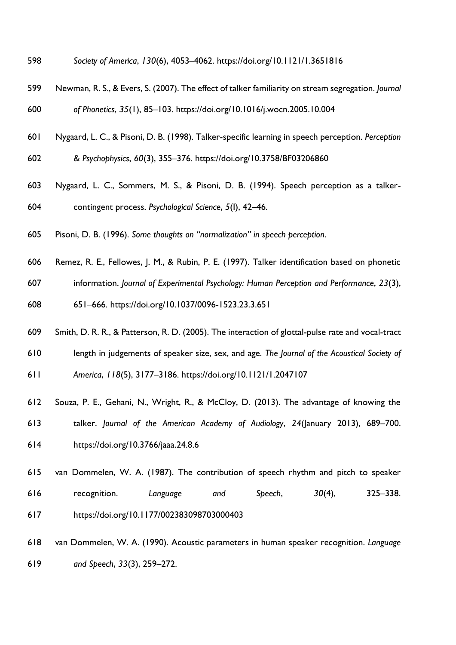- *Society of America*, *130*(6), 4053–4062. https://doi.org/10.1121/1.3651816
- Newman, R. S., & Evers, S. (2007). The effect of talker familiarity on stream segregation. *Journal of Phonetics*, *35*(1), 85–103. https://doi.org/10.1016/j.wocn.2005.10.004
- Nygaard, L. C., & Pisoni, D. B. (1998). Talker-specific learning in speech perception. *Perception*
- *& Psychophysics*, *60*(3), 355–376. https://doi.org/10.3758/BF03206860
- Nygaard, L. C., Sommers, M. S., & Pisoni, D. B. (1994). Speech perception as a talker-contingent process. *Psychological Science*, *5*(I), 42–46.
- Pisoni, D. B. (1996). *Some thoughts on "normalization" in speech perception*.
- Remez, R. E., Fellowes, J. M., & Rubin, P. E. (1997). Talker identification based on phonetic
- information. *Journal of Experimental Psychology: Human Perception and Performance*, *23*(3),
- 651–666. https://doi.org/10.1037/0096-1523.23.3.651
- Smith, D. R. R., & Patterson, R. D. (2005). The interaction of glottal-pulse rate and vocal-tract
- length in judgements of speaker size, sex, and age. *The Journal of the Acoustical Society of*
- *America*, *118*(5), 3177–3186. https://doi.org/10.1121/1.2047107
- Souza, P. E., Gehani, N., Wright, R., & McCloy, D. (2013). The advantage of knowing the
- talker. *Journal of the American Academy of Audiology*, *24*(January 2013), 689–700.
- https://doi.org/10.3766/jaaa.24.8.6
- van Dommelen, W. A. (1987). The contribution of speech rhythm and pitch to speaker recognition. *Language and Speech*, *30*(4), 325–338. https://doi.org/10.1177/002383098703000403
- van Dommelen, W. A. (1990). Acoustic parameters in human speaker recognition. *Language and Speech*, *33*(3), 259–272.